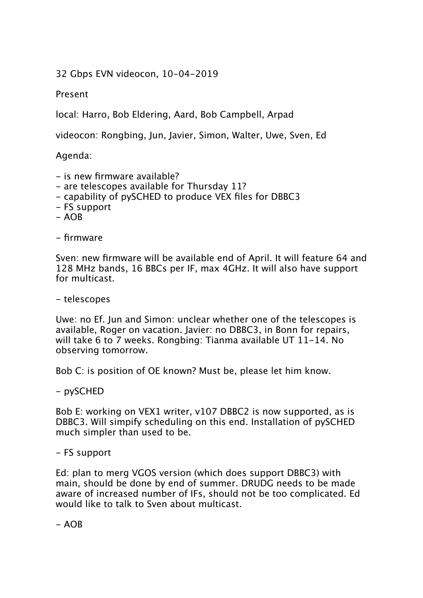32 Gbps EVN videocon, 10-04-2019

Present

local: Harro, Bob Eldering, Aard, Bob Campbell, Arpad

videocon: Rongbing, Jun, Javier, Simon, Walter, Uwe, Sven, Ed

Agenda:

- is new firmware available?
- are telescopes available for Thursdav 11?
- capability of pySCHED to produce VEX files for DBBC3
- FS support
- $AOB$

- firmware

Sven: new firmware will be available end of April. It will feature 64 and 128 MHz bands, 16 BBCs per IF, max 4GHz. It will also have support for multicast.

- telescopes

Uwe: no Ef. Jun and Simon: unclear whether one of the telescopes is available, Roger on vacation. Javier: no DBBC3, in Bonn for repairs, will take 6 to 7 weeks. Rongbing: Tianma available UT 11-14. No observing tomorrow.

Bob C: is position of OE known? Must be, please let him know.

- pySCHED

Bob E: working on VEX1 writer, v107 DBBC2 is now supported, as is DBBC3. Will simpify scheduling on this end. Installation of pySCHED much simpler than used to be.

- FS support

Ed: plan to merg VGOS version (which does support DBBC3) with main, should be done by end of summer. DRUDG needs to be made aware of increased number of IFs, should not be too complicated. Ed would like to talk to Sven about multicast.

 $- AOB$